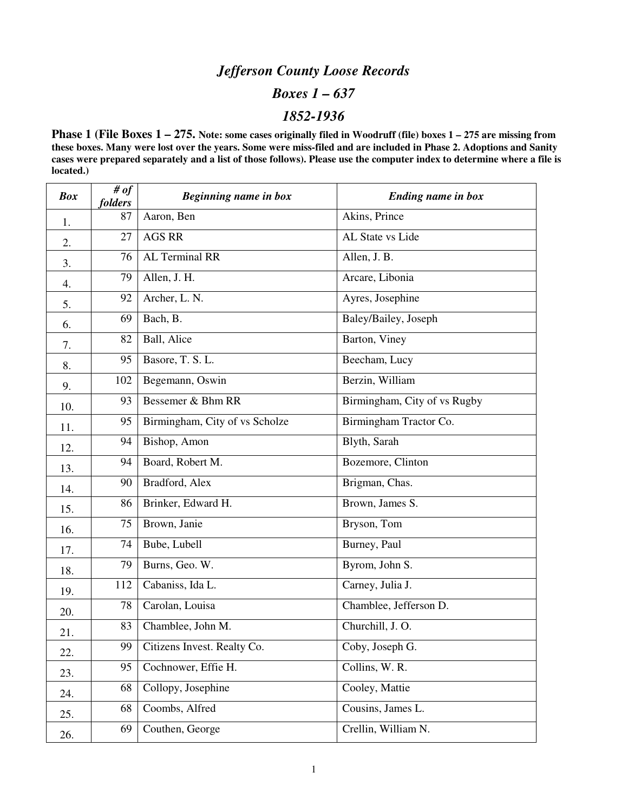## *Jefferson County Loose Records*

#### *Boxes 1 – 637*

### *1852-1936*

**Phase 1 (File Boxes 1 – 275. Note: some cases originally filed in Woodruff (file) boxes 1 – 275 are missing from these boxes. Many were lost over the years. Some were miss-filed and are included in Phase 2. Adoptions and Sanity cases were prepared separately and a list of those follows). Please use the computer index to determine where a file is located.)** 

| <b>Box</b> | # of<br>folders | Beginning name in box          | Ending name in box           |
|------------|-----------------|--------------------------------|------------------------------|
| 1.         | 87              | Aaron, Ben                     | Akins, Prince                |
| 2.         | 27              | <b>AGS RR</b>                  | AL State vs Lide             |
| 3.         | 76              | <b>AL Terminal RR</b>          | Allen, J. B.                 |
| 4.         | 79              | Allen, J. H.                   | Arcare, Libonia              |
| 5.         | 92              | Archer, L. N.                  | Ayres, Josephine             |
| 6.         | 69              | Bach, B.                       | Baley/Bailey, Joseph         |
| 7.         | 82              | Ball, Alice                    | Barton, Viney                |
| 8.         | 95              | Basore, T. S. L.               | Beecham, Lucy                |
| 9.         | 102             | Begemann, Oswin                | Berzin, William              |
| 10.        | 93              | Bessemer & Bhm RR              | Birmingham, City of vs Rugby |
| 11.        | 95              | Birmingham, City of vs Scholze | Birmingham Tractor Co.       |
| 12.        | 94              | Bishop, Amon                   | Blyth, Sarah                 |
| 13.        | 94              | Board, Robert M.               | Bozemore, Clinton            |
| 14.        | 90              | Bradford, Alex                 | Brigman, Chas.               |
| 15.        | 86              | Brinker, Edward H.             | Brown, James S.              |
| 16.        | 75              | Brown, Janie                   | Bryson, Tom                  |
| 17.        | 74              | Bube, Lubell                   | Burney, Paul                 |
| 18.        | 79              | Burns, Geo. W.                 | Byrom, John S.               |
| 19.        | 112             | Cabaniss, Ida L.               | Carney, Julia J.             |
| 20.        | 78              | Carolan, Louisa                | Chamblee, Jefferson D.       |
| 21.        | 83              | Chamblee, John M.              | Churchill, J.O.              |
| 22.        | 99              | Citizens Invest. Realty Co.    | Coby, Joseph G.              |
| 23.        | 95              | Cochnower, Effie H.            | Collins, W. $\overline{R}$ . |
| 24.        | 68              | Collopy, Josephine             | Cooley, Mattie               |
| 25.        | 68              | Coombs, Alfred                 | Cousins, James L.            |
| 26.        | 69              | Couthen, George                | Crellin, William N.          |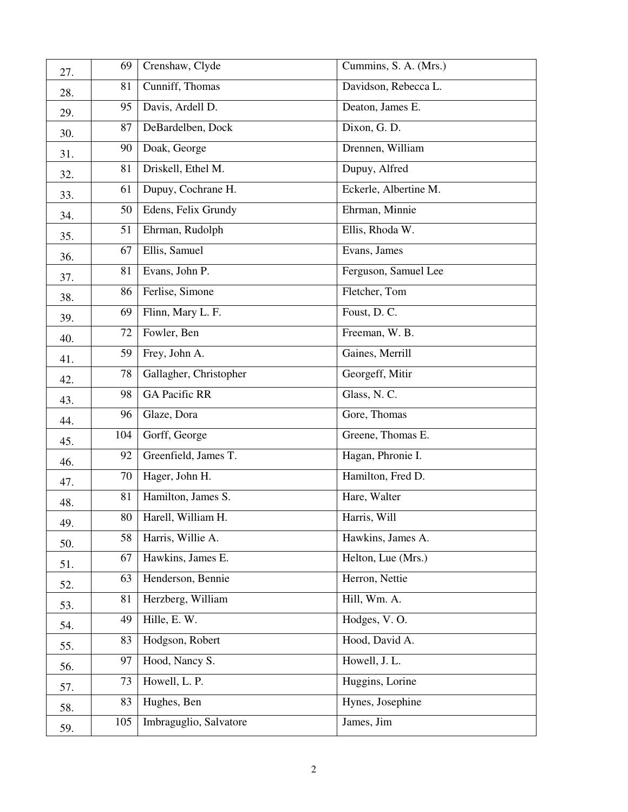| 27. | 69     | Crenshaw, Clyde        | Cummins, S. A. (Mrs.) |
|-----|--------|------------------------|-----------------------|
| 28. | 81     | Cunniff, Thomas        | Davidson, Rebecca L.  |
| 29. | 95     | Davis, Ardell D.       | Deaton, James E.      |
| 30. | 87     | DeBardelben, Dock      | Dixon, G. D.          |
| 31. | 90     | Doak, George           | Drennen, William      |
| 32. | 81     | Driskell, Ethel M.     | Dupuy, Alfred         |
| 33. | 61     | Dupuy, Cochrane H.     | Eckerle, Albertine M. |
| 34. | 50     | Edens, Felix Grundy    | Ehrman, Minnie        |
| 35. | 51     | Ehrman, Rudolph        | Ellis, Rhoda W.       |
| 36. | 67     | Ellis, Samuel          | Evans, James          |
| 37. | 81     | Evans, John P.         | Ferguson, Samuel Lee  |
| 38. | 86     | Ferlise, Simone        | Fletcher, Tom         |
| 39. | 69     | Flinn, Mary L. F.      | Foust, D.C.           |
| 40. | $72\,$ | Fowler, Ben            | Freeman, W. B.        |
| 41. | 59     | Frey, John A.          | Gaines, Merrill       |
| 42. | 78     | Gallagher, Christopher | Georgeff, Mitir       |
| 43. | 98     | <b>GA Pacific RR</b>   | Glass, N.C.           |
| 44. | 96     | Glaze, Dora            | Gore, Thomas          |
| 45. | 104    | Gorff, George          | Greene, Thomas E.     |
| 46. | 92     | Greenfield, James T.   | Hagan, Phronie I.     |
| 47. | 70     | Hager, John H.         | Hamilton, Fred D.     |
| 48. | 81     | Hamilton, James S.     | Hare, Walter          |
| 49. | 80     | Harell, William H.     | Harris, Will          |
| 50. | 58     | Harris, Willie A.      | Hawkins, James A.     |
| 51. | 67     | Hawkins, James E.      | Helton, Lue (Mrs.)    |
| 52. | 63     | Henderson, Bennie      | Herron, Nettie        |
| 53. | 81     | Herzberg, William      | Hill, Wm. A.          |
| 54. | 49     | Hille, E. W.           | Hodges, V.O.          |
| 55. | 83     | Hodgson, Robert        | Hood, David A.        |
| 56. | 97     | Hood, Nancy S.         | Howell, J. L.         |
| 57. | 73     | Howell, L. P.          | Huggins, Lorine       |
| 58. | 83     | Hughes, Ben            | Hynes, Josephine      |
| 59. | 105    | Imbraguglio, Salvatore | James, Jim            |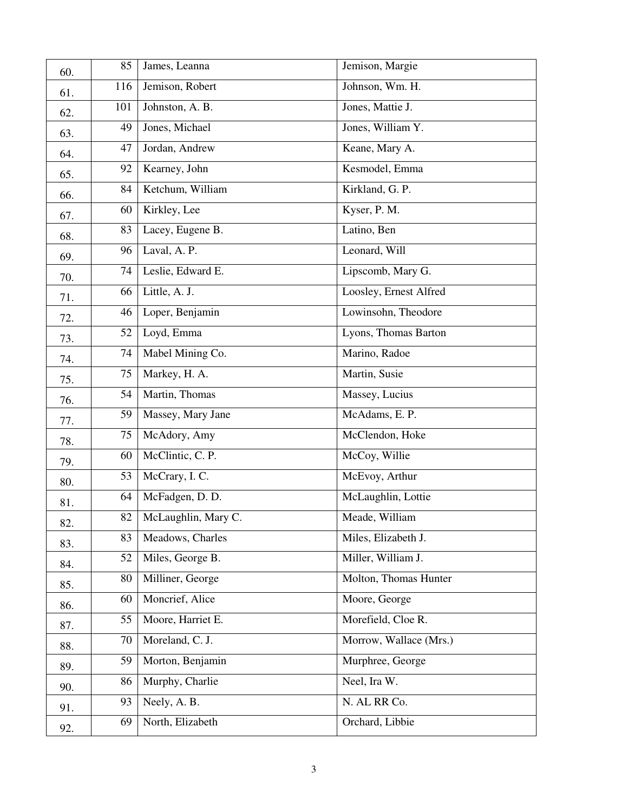| 60. | 85  | James, Leanna       | Jemison, Margie        |
|-----|-----|---------------------|------------------------|
| 61. | 116 | Jemison, Robert     | Johnson, Wm. H.        |
| 62. | 101 | Johnston, A. B.     | Jones, Mattie J.       |
| 63. | 49  | Jones, Michael      | Jones, William Y.      |
| 64. | 47  | Jordan, Andrew      | Keane, Mary A.         |
| 65. | 92  | Kearney, John       | Kesmodel, Emma         |
| 66. | 84  | Ketchum, William    | Kirkland, G. P.        |
| 67. | 60  | Kirkley, Lee        | Kyser, P. M.           |
| 68. | 83  | Lacey, Eugene B.    | Latino, Ben            |
| 69. | 96  | Laval, A. P.        | Leonard, Will          |
| 70. | 74  | Leslie, Edward E.   | Lipscomb, Mary G.      |
| 71. | 66  | Little, A. J.       | Loosley, Ernest Alfred |
| 72. | 46  | Loper, Benjamin     | Lowinsohn, Theodore    |
| 73. | 52  | Loyd, Emma          | Lyons, Thomas Barton   |
| 74. | 74  | Mabel Mining Co.    | Marino, Radoe          |
| 75. | 75  | Markey, H. A.       | Martin, Susie          |
| 76. | 54  | Martin, Thomas      | Massey, Lucius         |
| 77. | 59  | Massey, Mary Jane   | McAdams, E.P.          |
| 78. | 75  | McAdory, Amy        | McClendon, Hoke        |
| 79. | 60  | McClintic, C. P.    | McCoy, Willie          |
| 80. | 53  | McCrary, I. C.      | McEvoy, Arthur         |
| 81. | 64  | McFadgen, D. D.     | McLaughlin, Lottie     |
| 82. | 82  | McLaughlin, Mary C. | Meade, William         |
| 83. | 83  | Meadows, Charles    | Miles, Elizabeth J.    |
| 84. | 52  | Miles, George B.    | Miller, William J.     |
| 85. | 80  | Milliner, George    | Molton, Thomas Hunter  |
| 86. | 60  | Moncrief, Alice     | Moore, George          |
| 87. | 55  | Moore, Harriet E.   | Morefield, Cloe R.     |
| 88. | 70  | Moreland, C. J.     | Morrow, Wallace (Mrs.) |
| 89. | 59  | Morton, Benjamin    | Murphree, George       |
| 90. | 86  | Murphy, Charlie     | Neel, Ira W.           |
| 91. | 93  | Neely, A. B.        | N. AL RR Co.           |
| 92. | 69  | North, Elizabeth    | Orchard, Libbie        |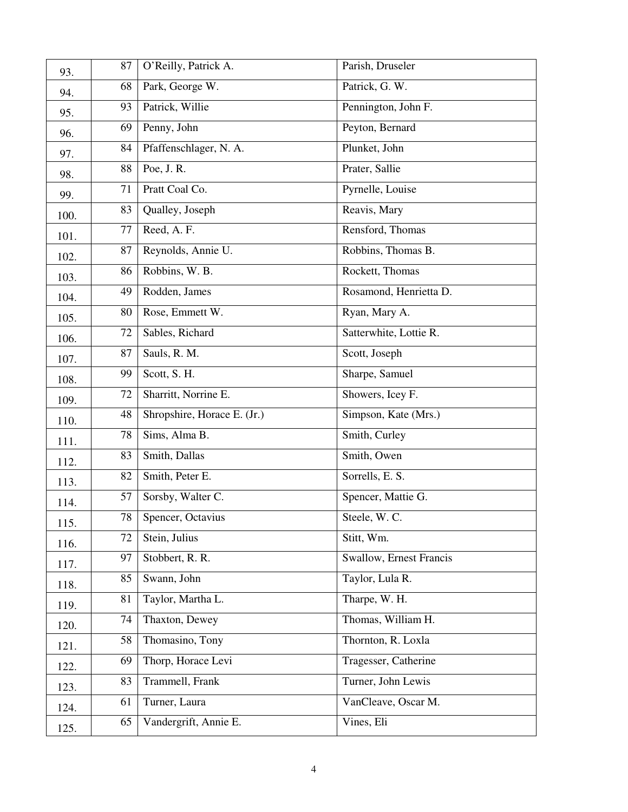| 93.  | 87 | O'Reilly, Patrick A.        | Parish, Druseler        |
|------|----|-----------------------------|-------------------------|
| 94.  | 68 | Park, George W.             | Patrick, G. W.          |
| 95.  | 93 | Patrick, Willie             | Pennington, John F.     |
| 96.  | 69 | Penny, John                 | Peyton, Bernard         |
| 97.  | 84 | Pfaffenschlager, N. A.      | Plunket, John           |
| 98.  | 88 | Poe, J. R.                  | Prater, Sallie          |
| 99.  | 71 | Pratt Coal Co.              | Pyrnelle, Louise        |
| 100. | 83 | Qualley, Joseph             | Reavis, Mary            |
| 101. | 77 | Reed, A.F.                  | Rensford, Thomas        |
| 102. | 87 | Reynolds, Annie U.          | Robbins, Thomas B.      |
| 103. | 86 | Robbins, W. B.              | Rockett, Thomas         |
| 104. | 49 | Rodden, James               | Rosamond, Henrietta D.  |
| 105. | 80 | Rose, Emmett W.             | Ryan, Mary A.           |
| 106. | 72 | Sables, Richard             | Satterwhite, Lottie R.  |
| 107. | 87 | Sauls, R. M.                | Scott, Joseph           |
| 108. | 99 | Scott, S. H.                | Sharpe, Samuel          |
| 109. | 72 | Sharritt, Norrine E.        | Showers, Icey F.        |
| 110. | 48 | Shropshire, Horace E. (Jr.) | Simpson, Kate (Mrs.)    |
| 111. | 78 | Sims, Alma B.               | Smith, Curley           |
| 112. | 83 | Smith, Dallas               | Smith, Owen             |
| 113. | 82 | Smith, Peter E.             | Sorrells, E. S.         |
| 114. | 57 | Sorsby, Walter C.           | Spencer, Mattie G.      |
| 115. | 78 | Spencer, Octavius           | Steele, W. C.           |
| 116. | 72 | Stein, Julius               | Stitt, Wm.              |
| 117. | 97 | Stobbert, R. R.             | Swallow, Ernest Francis |
| 118. | 85 | Swann, John                 | Taylor, Lula R.         |
| 119. | 81 | Taylor, Martha L.           | Tharpe, W. H.           |
| 120. | 74 | Thaxton, Dewey              | Thomas, William H.      |
| 121. | 58 | Thomasino, Tony             | Thornton, R. Loxla      |
| 122. | 69 | Thorp, Horace Levi          | Tragesser, Catherine    |
| 123. | 83 | Trammell, Frank             | Turner, John Lewis      |
| 124. | 61 | Turner, Laura               | VanCleave, Oscar M.     |
| 125. | 65 | Vandergrift, Annie E.       | Vines, Eli              |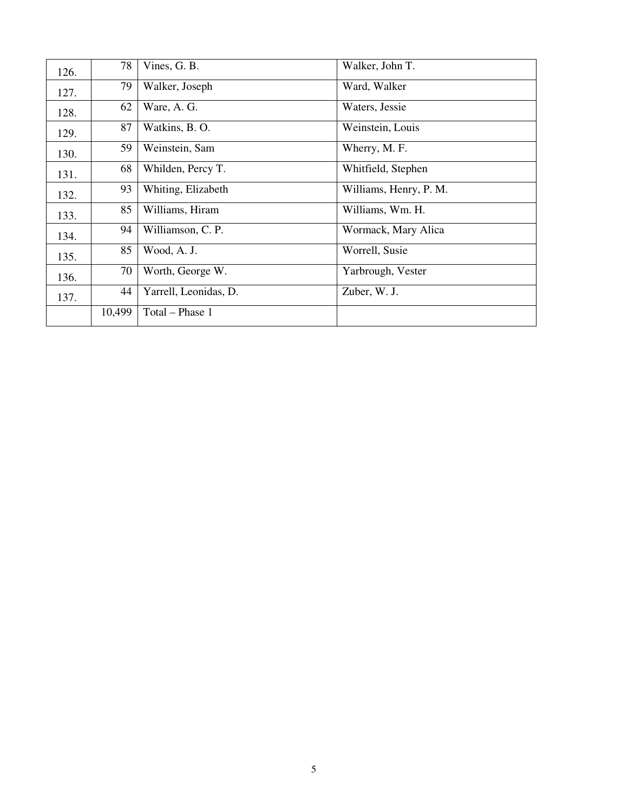| 126. | 78     | Vines, G. B.          | Walker, John T.        |
|------|--------|-----------------------|------------------------|
| 127. | 79     | Walker, Joseph        | Ward, Walker           |
| 128. | 62     | Ware, A. G.           | Waters, Jessie         |
| 129. | 87     | Watkins, B. O.        | Weinstein, Louis       |
| 130. | 59     | Weinstein, Sam        | Wherry, M. F.          |
| 131. | 68     | Whilden, Percy T.     | Whitfield, Stephen     |
| 132. | 93     | Whiting, Elizabeth    | Williams, Henry, P. M. |
| 133. | 85     | Williams, Hiram       | Williams, Wm. H.       |
| 134. | 94     | Williamson, C. P.     | Wormack, Mary Alica    |
| 135. | 85     | Wood, A. J.           | Worrell, Susie         |
| 136. | 70     | Worth, George W.      | Yarbrough, Vester      |
| 137. | 44     | Yarrell, Leonidas, D. | Zuber, W. J.           |
|      | 10,499 | Total - Phase 1       |                        |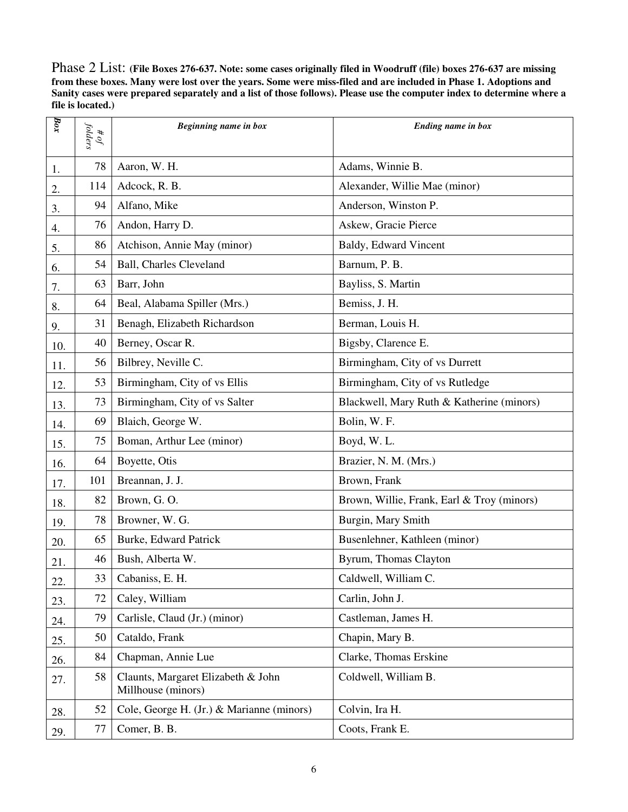Phase 2 List: **(File Boxes 276-637. Note: some cases originally filed in Woodruff (file) boxes 276-637 are missing from these boxes. Many were lost over the years. Some were miss-filed and are included in Phase 1. Adoptions and Sanity cases were prepared separately and a list of those follows). Please use the computer index to determine where a file is located.)** 

| $_{\it box}$ | folders<br>$\partial \theta$ | Beginning name in box                                    | Ending name in box                         |
|--------------|------------------------------|----------------------------------------------------------|--------------------------------------------|
| 1.           | 78                           | Aaron, W. H.                                             | Adams, Winnie B.                           |
| 2.           | 114                          | Adcock, R. B.                                            | Alexander, Willie Mae (minor)              |
| 3.           | 94                           | Alfano, Mike                                             | Anderson, Winston P.                       |
| 4.           | 76                           | Andon, Harry D.                                          | Askew, Gracie Pierce                       |
| 5.           | 86                           | Atchison, Annie May (minor)                              | Baldy, Edward Vincent                      |
| 6.           | 54                           | <b>Ball, Charles Cleveland</b>                           | Barnum, P. B.                              |
| 7.           | 63                           | Barr, John                                               | Bayliss, S. Martin                         |
| 8.           | 64                           | Beal, Alabama Spiller (Mrs.)                             | Bemiss, J. H.                              |
| 9.           | 31                           | Benagh, Elizabeth Richardson                             | Berman, Louis H.                           |
| 10.          | 40                           | Berney, Oscar R.                                         | Bigsby, Clarence E.                        |
| 11.          | 56                           | Bilbrey, Neville C.                                      | Birmingham, City of vs Durrett             |
| 12.          | 53                           | Birmingham, City of vs Ellis                             | Birmingham, City of vs Rutledge            |
| 13.          | 73                           | Birmingham, City of vs Salter                            | Blackwell, Mary Ruth & Katherine (minors)  |
| 14.          | 69                           | Blaich, George W.                                        | Bolin, W. F.                               |
| 15.          | 75                           | Boman, Arthur Lee (minor)                                | Boyd, W.L.                                 |
| 16.          | 64                           | Boyette, Otis                                            | Brazier, N. M. (Mrs.)                      |
| 17.          | 101                          | Breannan, J. J.                                          | Brown, Frank                               |
| 18.          | 82                           | Brown, G.O.                                              | Brown, Willie, Frank, Earl & Troy (minors) |
| 19.          | 78                           | Browner, W. G.                                           | Burgin, Mary Smith                         |
| 20.          | 65                           | Burke, Edward Patrick                                    | Busenlehner, Kathleen (minor)              |
| 21.          | 46                           | Bush, Alberta W.                                         | Byrum, Thomas Clayton                      |
| 22.          | 33                           | Cabaniss, E. H.                                          | Caldwell, William C.                       |
| 23.          | 72                           | Caley, William                                           | Carlin, John J.                            |
| 24.          | 79                           | Carlisle, Claud (Jr.) (minor)                            | Castleman, James H.                        |
| 25.          | 50                           | Cataldo, Frank                                           | Chapin, Mary B.                            |
| 26.          | 84                           | Chapman, Annie Lue                                       | Clarke, Thomas Erskine                     |
| 27.          | 58                           | Claunts, Margaret Elizabeth & John<br>Millhouse (minors) | Coldwell, William B.                       |
| 28.          | 52                           | Cole, George H. (Jr.) & Marianne (minors)                | Colvin, Ira H.                             |
| 29.          | 77                           | Comer, B. B.                                             | Coots, Frank E.                            |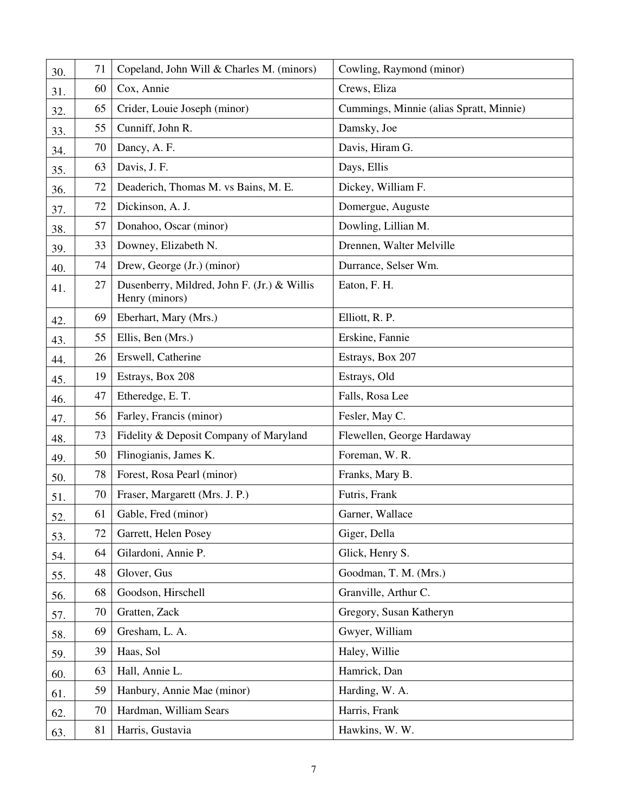| 30. | 71 | Copeland, John Will & Charles M. (minors)                     | Cowling, Raymond (minor)                |
|-----|----|---------------------------------------------------------------|-----------------------------------------|
| 31. | 60 | Cox, Annie                                                    | Crews, Eliza                            |
| 32. | 65 | Crider, Louie Joseph (minor)                                  | Cummings, Minnie (alias Spratt, Minnie) |
| 33. | 55 | Cunniff, John R.                                              | Damsky, Joe                             |
| 34. | 70 | Dancy, A. F.                                                  | Davis, Hiram G.                         |
| 35. | 63 | Davis, J. F.                                                  | Days, Ellis                             |
| 36. | 72 | Deaderich, Thomas M. vs Bains, M. E.                          | Dickey, William F.                      |
| 37. | 72 | Dickinson, A. J.                                              | Domergue, Auguste                       |
| 38. | 57 | Donahoo, Oscar (minor)                                        | Dowling, Lillian M.                     |
| 39. | 33 | Downey, Elizabeth N.                                          | Drennen, Walter Melville                |
| 40. | 74 | Drew, George (Jr.) (minor)                                    | Durrance, Selser Wm.                    |
| 41. | 27 | Dusenberry, Mildred, John F. (Jr.) & Willis<br>Henry (minors) | Eaton, F. H.                            |
| 42. | 69 | Eberhart, Mary (Mrs.)                                         | Elliott, R. P.                          |
| 43. | 55 | Ellis, Ben (Mrs.)                                             | Erskine, Fannie                         |
| 44. | 26 | Erswell, Catherine                                            | Estrays, Box 207                        |
| 45. | 19 | Estrays, Box 208                                              | Estrays, Old                            |
| 46. | 47 | Etheredge, E.T.                                               | Falls, Rosa Lee                         |
| 47. | 56 | Farley, Francis (minor)                                       | Fesler, May C.                          |
| 48. | 73 | Fidelity & Deposit Company of Maryland                        | Flewellen, George Hardaway              |
| 49. | 50 | Flinogianis, James K.                                         | Foreman, W. R.                          |
| 50. | 78 | Forest, Rosa Pearl (minor)                                    | Franks, Mary B.                         |
| 51. | 70 | Fraser, Margarett (Mrs. J. P.)                                | Futris, Frank                           |
| 52. | 61 | Gable, Fred (minor)                                           | Garner, Wallace                         |
| 53. | 72 | Garrett, Helen Posey                                          | Giger, Della                            |
| 54. | 64 | Gilardoni, Annie P.                                           | Glick, Henry S.                         |
| 55. | 48 | Glover, Gus                                                   | Goodman, T. M. (Mrs.)                   |
| 56. | 68 | Goodson, Hirschell                                            | Granville, Arthur C.                    |
| 57. | 70 | Gratten, Zack                                                 | Gregory, Susan Katheryn                 |
| 58. | 69 | Gresham, L. A.                                                | Gwyer, William                          |
| 59. | 39 | Haas, Sol                                                     | Haley, Willie                           |
| 60. | 63 | Hall, Annie L.                                                | Hamrick, Dan                            |
| 61. | 59 | Hanbury, Annie Mae (minor)                                    | Harding, W. A.                          |
| 62. | 70 | Hardman, William Sears                                        | Harris, Frank                           |
| 63. | 81 | Harris, Gustavia                                              | Hawkins, W. W.                          |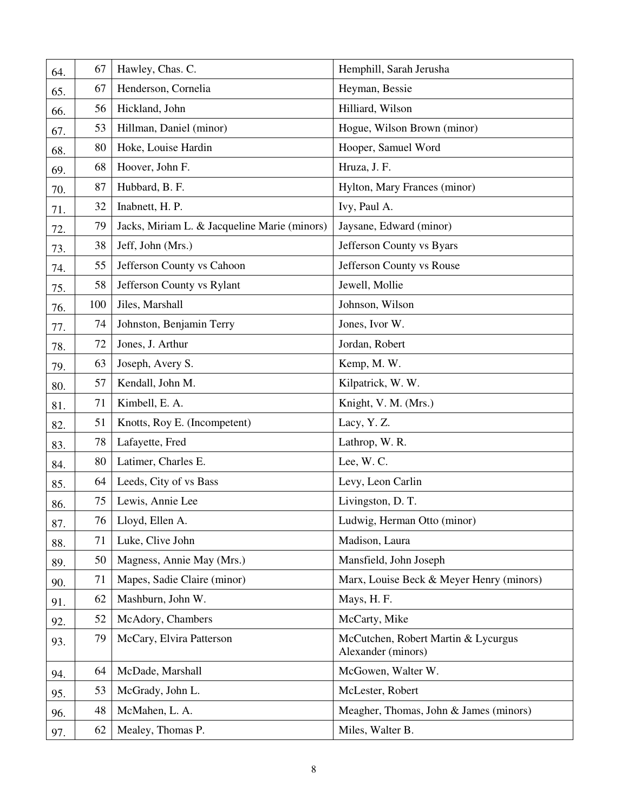| 64. | 67  | Hawley, Chas. C.                             | Hemphill, Sarah Jerusha                                   |
|-----|-----|----------------------------------------------|-----------------------------------------------------------|
| 65. | 67  | Henderson, Cornelia                          | Heyman, Bessie                                            |
| 66. | 56  | Hickland, John                               | Hilliard, Wilson                                          |
| 67. | 53  | Hillman, Daniel (minor)                      | Hogue, Wilson Brown (minor)                               |
| 68. | 80  | Hoke, Louise Hardin                          | Hooper, Samuel Word                                       |
| 69. | 68  | Hoover, John F.                              | Hruza, J. F.                                              |
| 70. | 87  | Hubbard, B. F.                               | Hylton, Mary Frances (minor)                              |
| 71. | 32  | Inabnett, H. P.                              | Ivy, Paul A.                                              |
| 72. | 79  | Jacks, Miriam L. & Jacqueline Marie (minors) | Jaysane, Edward (minor)                                   |
| 73. | 38  | Jeff, John (Mrs.)                            | Jefferson County vs Byars                                 |
| 74. | 55  | Jefferson County vs Cahoon                   | Jefferson County vs Rouse                                 |
| 75. | 58  | Jefferson County vs Rylant                   | Jewell, Mollie                                            |
| 76. | 100 | Jiles, Marshall                              | Johnson, Wilson                                           |
| 77. | 74  | Johnston, Benjamin Terry                     | Jones, Ivor W.                                            |
| 78. | 72  | Jones, J. Arthur                             | Jordan, Robert                                            |
| 79. | 63  | Joseph, Avery S.                             | Kemp, M.W.                                                |
| 80. | 57  | Kendall, John M.                             | Kilpatrick, W. W.                                         |
| 81. | 71  | Kimbell, E. A.                               | Knight, V. M. (Mrs.)                                      |
| 82. | 51  | Knotts, Roy E. (Incompetent)                 | Lacy, Y.Z.                                                |
| 83. | 78  | Lafayette, Fred                              | Lathrop, W. R.                                            |
| 84. | 80  | Latimer, Charles E.                          | Lee, W.C.                                                 |
| 85. | 64  | Leeds, City of vs Bass                       | Levy, Leon Carlin                                         |
| 86. | 75  | Lewis, Annie Lee                             | Livingston, D. T.                                         |
| 87. | 76  | Lloyd, Ellen A.                              | Ludwig, Herman Otto (minor)                               |
| 88. | 71  | Luke, Clive John                             | Madison, Laura                                            |
| 89. | 50  | Magness, Annie May (Mrs.)                    | Mansfield, John Joseph                                    |
| 90. | 71  | Mapes, Sadie Claire (minor)                  | Marx, Louise Beck & Meyer Henry (minors)                  |
| 91. | 62  | Mashburn, John W.                            | Mays, H. F.                                               |
| 92. | 52  | McAdory, Chambers                            | McCarty, Mike                                             |
| 93. | 79  | McCary, Elvira Patterson                     | McCutchen, Robert Martin & Lycurgus<br>Alexander (minors) |
| 94. | 64  | McDade, Marshall                             | McGowen, Walter W.                                        |
| 95. | 53  | McGrady, John L.                             | McLester, Robert                                          |
| 96. | 48  | McMahen, L. A.                               | Meagher, Thomas, John & James (minors)                    |
| 97. | 62  | Mealey, Thomas P.                            | Miles, Walter B.                                          |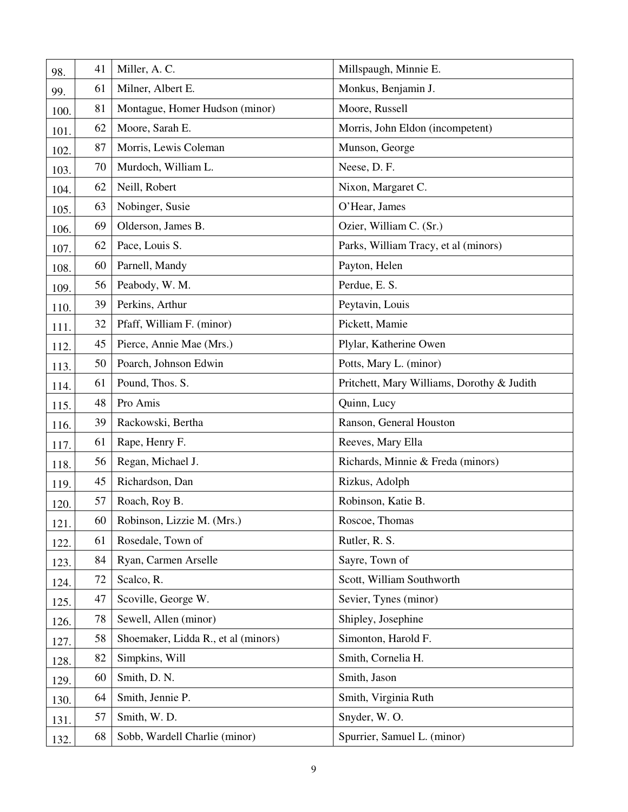| 98.  | 41 | Miller, A.C.                        | Millspaugh, Minnie E.                      |
|------|----|-------------------------------------|--------------------------------------------|
| 99.  | 61 | Milner, Albert E.                   | Monkus, Benjamin J.                        |
| 100. | 81 | Montague, Homer Hudson (minor)      | Moore, Russell                             |
| 101. | 62 | Moore, Sarah E.                     | Morris, John Eldon (incompetent)           |
| 102. | 87 | Morris, Lewis Coleman               | Munson, George                             |
| 103. | 70 | Murdoch, William L.                 | Neese, D. F.                               |
| 104. | 62 | Neill, Robert                       | Nixon, Margaret C.                         |
| 105. | 63 | Nobinger, Susie                     | O'Hear, James                              |
| 106. | 69 | Olderson, James B.                  | Ozier, William C. (Sr.)                    |
| 107. | 62 | Pace, Louis S.                      | Parks, William Tracy, et al (minors)       |
| 108. | 60 | Parnell, Mandy                      | Payton, Helen                              |
| 109. | 56 | Peabody, W. M.                      | Perdue, E. S.                              |
| 110. | 39 | Perkins, Arthur                     | Peytavin, Louis                            |
| 111. | 32 | Pfaff, William F. (minor)           | Pickett, Mamie                             |
| 112. | 45 | Pierce, Annie Mae (Mrs.)            | Plylar, Katherine Owen                     |
| 113. | 50 | Poarch, Johnson Edwin               | Potts, Mary L. (minor)                     |
| 114. | 61 | Pound, Thos. S.                     | Pritchett, Mary Williams, Dorothy & Judith |
| 115. | 48 | Pro Amis                            | Quinn, Lucy                                |
| 116. | 39 | Rackowski, Bertha                   | Ranson, General Houston                    |
| 117. | 61 | Rape, Henry F.                      | Reeves, Mary Ella                          |
| 118. | 56 | Regan, Michael J.                   | Richards, Minnie & Freda (minors)          |
| 119. | 45 | Richardson, Dan                     | Rizkus, Adolph                             |
| 120. | 57 | Roach, Roy B.                       | Robinson, Katie B.                         |
| 121. | 60 | Robinson, Lizzie M. (Mrs.)          | Roscoe, Thomas                             |
| 122. | 61 | Rosedale, Town of                   | Rutler, R. S.                              |
| 123. | 84 | Ryan, Carmen Arselle                | Sayre, Town of                             |
| 124. | 72 | Scalco, R.                          | Scott, William Southworth                  |
| 125. | 47 | Scoville, George W.                 | Sevier, Tynes (minor)                      |
| 126. | 78 | Sewell, Allen (minor)               | Shipley, Josephine                         |
| 127. | 58 | Shoemaker, Lidda R., et al (minors) | Simonton, Harold F.                        |
| 128. | 82 | Simpkins, Will                      | Smith, Cornelia H.                         |
| 129. | 60 | Smith, D. N.                        | Smith, Jason                               |
| 130. | 64 | Smith, Jennie P.                    | Smith, Virginia Ruth                       |
| 131. | 57 | Smith, W.D.                         | Snyder, W.O.                               |
| 132. | 68 | Sobb, Wardell Charlie (minor)       | Spurrier, Samuel L. (minor)                |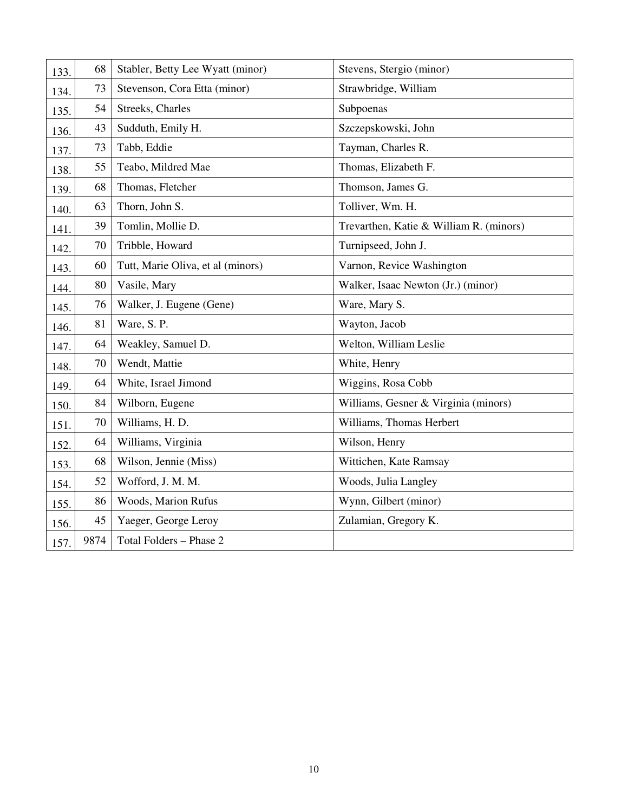| 133. | 68   | Stabler, Betty Lee Wyatt (minor)  | Stevens, Stergio (minor)                |
|------|------|-----------------------------------|-----------------------------------------|
| 134. | 73   | Stevenson, Cora Etta (minor)      | Strawbridge, William                    |
| 135. | 54   | Streeks, Charles                  | Subpoenas                               |
| 136. | 43   | Sudduth, Emily H.                 | Szczepskowski, John                     |
| 137. | 73   | Tabb, Eddie                       | Tayman, Charles R.                      |
| 138. | 55   | Teabo, Mildred Mae                | Thomas, Elizabeth F.                    |
| 139. | 68   | Thomas, Fletcher                  | Thomson, James G.                       |
| 140. | 63   | Thorn, John S.                    | Tolliver, Wm. H.                        |
| 141. | 39   | Tomlin, Mollie D.                 | Trevarthen, Katie & William R. (minors) |
| 142. | 70   | Tribble, Howard                   | Turnipseed, John J.                     |
| 143. | 60   | Tutt, Marie Oliva, et al (minors) | Varnon, Revice Washington               |
| 144. | 80   | Vasile, Mary                      | Walker, Isaac Newton (Jr.) (minor)      |
| 145. | 76   | Walker, J. Eugene (Gene)          | Ware, Mary S.                           |
| 146. | 81   | Ware, S.P.                        | Wayton, Jacob                           |
| 147. | 64   | Weakley, Samuel D.                | Welton, William Leslie                  |
| 148. | 70   | Wendt, Mattie                     | White, Henry                            |
| 149. | 64   | White, Israel Jimond              | Wiggins, Rosa Cobb                      |
| 150. | 84   | Wilborn, Eugene                   | Williams, Gesner & Virginia (minors)    |
| 151. | 70   | Williams, H. D.                   | Williams, Thomas Herbert                |
| 152. | 64   | Williams, Virginia                | Wilson, Henry                           |
| 153. | 68   | Wilson, Jennie (Miss)             | Wittichen, Kate Ramsay                  |
| 154. | 52   | Wofford, J. M. M.                 | Woods, Julia Langley                    |
| 155. | 86   | Woods, Marion Rufus               | Wynn, Gilbert (minor)                   |
| 156. | 45   | Yaeger, George Leroy              | Zulamian, Gregory K.                    |
| 157. | 9874 | Total Folders - Phase 2           |                                         |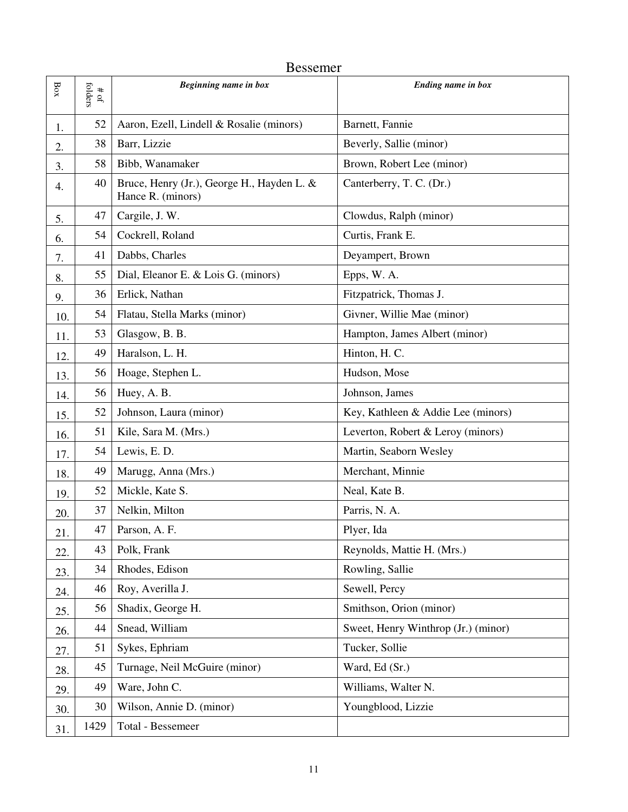|                   | <b>Bessemer</b>                           |                                                                 |                                     |  |  |
|-------------------|-------------------------------------------|-----------------------------------------------------------------|-------------------------------------|--|--|
| $_{\mathrm{Box}}$ | folders<br>$\pmb{\ast}$<br>$\mathfrak{g}$ | Beginning name in box                                           | <b>Ending name in box</b>           |  |  |
| 1.                | 52                                        | Aaron, Ezell, Lindell & Rosalie (minors)                        | Barnett, Fannie                     |  |  |
| 2.                | 38                                        | Barr, Lizzie                                                    | Beverly, Sallie (minor)             |  |  |
| 3.                | 58                                        | Bibb, Wanamaker                                                 | Brown, Robert Lee (minor)           |  |  |
| 4.                | 40                                        | Bruce, Henry (Jr.), George H., Hayden L. &<br>Hance R. (minors) | Canterberry, T. C. (Dr.)            |  |  |
| 5.                | 47                                        | Cargile, J. W.                                                  | Clowdus, Ralph (minor)              |  |  |
| 6.                | 54                                        | Cockrell, Roland                                                | Curtis, Frank E.                    |  |  |
| 7.                | 41                                        | Dabbs, Charles                                                  | Deyampert, Brown                    |  |  |
| 8.                | 55                                        | Dial, Eleanor E. & Lois G. (minors)                             | Epps, W. A.                         |  |  |
| 9.                | 36                                        | Erlick, Nathan                                                  | Fitzpatrick, Thomas J.              |  |  |
| 10.               | 54                                        | Flatau, Stella Marks (minor)                                    | Givner, Willie Mae (minor)          |  |  |
| 11.               | 53                                        | Glasgow, B. B.                                                  | Hampton, James Albert (minor)       |  |  |
| 12.               | 49                                        | Haralson, L. H.                                                 | Hinton, H. C.                       |  |  |
| 13.               | 56                                        | Hoage, Stephen L.                                               | Hudson, Mose                        |  |  |
| 14.               | 56                                        | Huey, A. B.                                                     | Johnson, James                      |  |  |
| 15.               | 52                                        | Johnson, Laura (minor)                                          | Key, Kathleen & Addie Lee (minors)  |  |  |
| 16.               | 51                                        | Kile, Sara M. (Mrs.)                                            | Leverton, Robert & Leroy (minors)   |  |  |
| 17.               | 54                                        | Lewis, E.D.                                                     | Martin, Seaborn Wesley              |  |  |
| 18.               | 49                                        | Marugg, Anna (Mrs.)                                             | Merchant, Minnie                    |  |  |
| 19.               | 52                                        | Mickle, Kate S.                                                 | Neal, Kate B.                       |  |  |
| 20.               | 37                                        | Nelkin, Milton                                                  | Parris, N. A.                       |  |  |
| 21.               | 47                                        | Parson, A. F.                                                   | Plyer, Ida                          |  |  |
| 22.               | 43                                        | Polk, Frank                                                     | Reynolds, Mattie H. (Mrs.)          |  |  |
| 23.               | 34                                        | Rhodes, Edison                                                  | Rowling, Sallie                     |  |  |
| 24.               | 46                                        | Roy, Averilla J.                                                | Sewell, Percy                       |  |  |
| 25.               | 56                                        | Shadix, George H.                                               | Smithson, Orion (minor)             |  |  |
| 26.               | 44                                        | Snead, William                                                  | Sweet, Henry Winthrop (Jr.) (minor) |  |  |
| 27.               | 51                                        | Sykes, Ephriam                                                  | Tucker, Sollie                      |  |  |
| 28.               | 45                                        | Turnage, Neil McGuire (minor)                                   | Ward, Ed (Sr.)                      |  |  |
| 29.               | 49                                        | Ware, John C.                                                   | Williams, Walter N.                 |  |  |
| 30.               | 30                                        | Wilson, Annie D. (minor)                                        | Youngblood, Lizzie                  |  |  |
| 31.               | 1429                                      | Total - Bessemeer                                               |                                     |  |  |